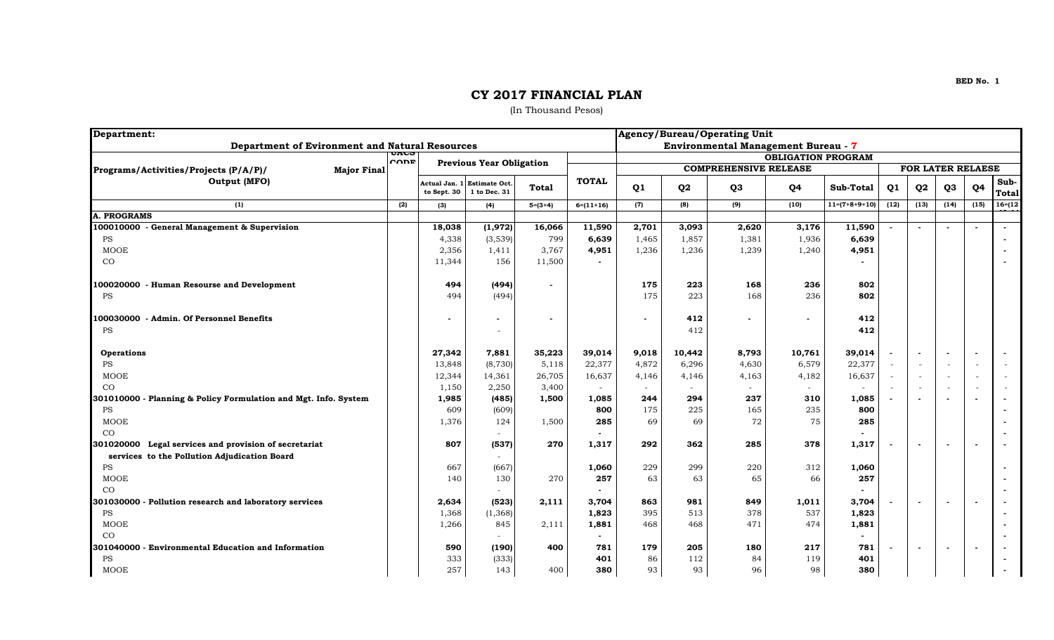## **CY 2017 FINANCIAL PLAN**

## (In Thousand Pesos)

| Department:                                                                 |                                                |                              |                                      |              |                           |       |                                            | Agency/Bureau/Operating Unit |        |                       |                          |                          |                          |                          |                      |  |  |
|-----------------------------------------------------------------------------|------------------------------------------------|------------------------------|--------------------------------------|--------------|---------------------------|-------|--------------------------------------------|------------------------------|--------|-----------------------|--------------------------|--------------------------|--------------------------|--------------------------|----------------------|--|--|
| <b>Department of Evironment and Natural Resources</b><br>ᄧ                  |                                                |                              |                                      |              |                           |       | <b>Environmental Management Bureau - 7</b> |                              |        |                       |                          |                          |                          |                          |                      |  |  |
|                                                                             | <b>CODE</b><br><b>Previous Year Obligation</b> |                              |                                      |              | <b>OBLIGATION PROGRAM</b> |       |                                            |                              |        |                       |                          |                          |                          |                          |                      |  |  |
| Programs/Activities/Projects (P/A/P)/<br><b>Major Final</b><br>Output (MFO) |                                                |                              |                                      |              |                           |       |                                            | <b>COMPREHENSIVE RELEASE</b> |        |                       | FOR LATER RELAESE        |                          |                          |                          |                      |  |  |
|                                                                             |                                                | Actual Jan. 1<br>to Sept. 30 | <b>Estimate Oct.</b><br>1 to Dec. 31 | <b>Total</b> | <b>TOTAL</b>              | Q1    | Q <sub>2</sub>                             | Q <sub>3</sub>               | Q4     | Sub-Total             | Q1                       | Q2                       | Q3                       | Q <sub>4</sub>           | Sub-<br><b>Total</b> |  |  |
| (1)                                                                         | (2)                                            | (3)                          | (4)                                  | $5=(3+4)$    | $6=(11+16)$               | (7)   | (8)                                        | (9)                          | (10)   | $11=(7+8+9+10)$       | (12)                     | (13)                     | (14)                     | (15)                     | $16 = (12)$          |  |  |
| <b>A. PROGRAMS</b>                                                          |                                                |                              |                                      |              |                           |       |                                            |                              |        |                       |                          |                          |                          |                          |                      |  |  |
| 100010000 - General Management & Supervision                                |                                                | 18,038                       | (1, 972)                             | 16,066       | 11,590                    | 2,701 | 3,093                                      | 2,620                        | 3,176  | 11,590                |                          |                          |                          | $\sim$                   |                      |  |  |
| PS                                                                          |                                                | 4,338                        | (3,539)                              | 799          | 6,639                     | 1,465 | 1,857                                      | 1,381                        | 1,936  | 6,639                 |                          |                          |                          |                          |                      |  |  |
| <b>MOOE</b>                                                                 |                                                | 2,356                        | 1,411                                | 3,767        | 4,951                     | 1,236 | 1,236                                      | 1,239                        | 1,240  | 4,951                 |                          |                          |                          |                          |                      |  |  |
| CO                                                                          |                                                | 11,344                       | 156                                  | 11,500       | $\sim$                    |       |                                            |                              |        |                       |                          |                          |                          |                          |                      |  |  |
| 100020000 - Human Resourse and Development                                  |                                                | 494                          | (494)                                |              |                           | 175   | 223                                        | 168                          | 236    | 802                   |                          |                          |                          |                          |                      |  |  |
| PS                                                                          |                                                | 494                          | (494)                                |              |                           | 175   | 223                                        | 168                          | 236    | 802                   |                          |                          |                          |                          |                      |  |  |
| 100030000 - Admin. Of Personnel Benefits                                    |                                                |                              |                                      |              |                           |       | 412                                        |                              |        | 412                   |                          |                          |                          |                          |                      |  |  |
| PS                                                                          |                                                |                              | $\overline{\phantom{a}}$             |              |                           |       | 412                                        |                              |        | 412                   |                          |                          |                          |                          |                      |  |  |
| Operations                                                                  |                                                | 27,342                       | 7,881                                | 35,223       | 39,014                    | 9,018 | 10,442                                     | 8,793                        | 10,761 | 39,014                | $\blacksquare$           |                          | $\sim$                   | $\sim$                   |                      |  |  |
| PS                                                                          |                                                | 13,848                       | (8, 730)                             | 5,118        | 22,377                    | 4,872 | 6,296                                      | 4,630                        | 6,579  | 22,377                |                          |                          | $\sim$                   | $\sim$                   |                      |  |  |
| <b>MOOE</b>                                                                 |                                                | 12,344                       | 14,361                               | 26,705       | 16,637                    | 4,146 | 4,146                                      | 4,163                        | 4,182  | 16,637                | $\overline{\phantom{a}}$ |                          | $\sim$                   | $\sim$                   |                      |  |  |
| CO                                                                          |                                                | 1,150                        | 2,250                                | 3,400        | $\sim$                    |       |                                            | $\sim$                       | $\sim$ |                       |                          |                          | $\overline{\phantom{a}}$ | $\overline{\phantom{a}}$ |                      |  |  |
| 301010000 - Planning & Policy Formulation and Mgt. Info. System             |                                                | 1,985                        | (485)                                | 1,500        | 1,085                     | 244   | 294                                        | 237                          | 310    | 1,085                 |                          |                          |                          | $\sim$                   |                      |  |  |
| PS                                                                          |                                                | 609                          | (609)                                |              | 800                       | 175   | 225                                        | 165                          | 235    | 800                   |                          |                          |                          |                          |                      |  |  |
| <b>MOOE</b>                                                                 |                                                | 1,376                        | 124                                  | 1,500        | 285                       | 69    | 69                                         | 72                           | 75     | 285                   |                          |                          |                          |                          |                      |  |  |
| CO                                                                          |                                                |                              |                                      |              |                           |       |                                            |                              |        |                       |                          |                          |                          |                          |                      |  |  |
| 301020000<br>Legal services and provision of secretariat                    |                                                | 807                          | (537)                                | 270          | 1,317                     | 292   | 362                                        | 285                          | 378    | 1,317                 |                          |                          |                          | $\sim$                   |                      |  |  |
| services to the Pollution Adjudication Board                                |                                                |                              |                                      |              |                           |       |                                            |                              |        |                       |                          |                          |                          |                          |                      |  |  |
| PS                                                                          |                                                | 667                          | (667)                                |              | 1,060                     | 229   | 299                                        | 220                          | 312    | 1,060                 |                          |                          |                          |                          |                      |  |  |
| <b>MOOE</b>                                                                 |                                                | 140                          | 130                                  | 270          | 257                       | 63    | 63                                         | 65                           | 66     | 257                   |                          |                          |                          |                          |                      |  |  |
| CO                                                                          |                                                |                              | $\sim$                               |              | $\sim$                    |       |                                            |                              |        |                       |                          |                          |                          |                          |                      |  |  |
| 301030000 - Pollution research and laboratory services                      |                                                | 2,634                        | (523)                                | 2,111        | 3,704                     | 863   | 981                                        | 849                          | 1,011  | 3,704                 |                          |                          |                          | $\sim$                   |                      |  |  |
| PS                                                                          |                                                | 1,368                        | (1, 368)                             |              | 1,823                     | 395   | 513                                        | 378                          | 537    | 1,823                 |                          |                          |                          |                          |                      |  |  |
| <b>MOOE</b><br>CO                                                           |                                                | 1,266                        | 845                                  | 2,111        | 1,881                     | 468   | 468                                        | 471                          | 474    | 1,881                 |                          |                          |                          |                          |                      |  |  |
| 301040000 - Environmental Education and Information                         |                                                | 590                          |                                      | 400          | $\sim$<br>781             |       | 205                                        | 180                          | 217    | $\blacksquare$<br>781 |                          |                          |                          |                          |                      |  |  |
|                                                                             |                                                | 333                          | (190)                                |              | 401                       | 179   |                                            |                              |        | 401                   |                          | $\overline{\phantom{a}}$ | $\blacksquare$           | $\sim$                   |                      |  |  |
| PS                                                                          |                                                |                              | (333)                                |              |                           | 86    | 112                                        | 84                           | 119    |                       |                          |                          |                          |                          |                      |  |  |
| <b>MOOE</b>                                                                 |                                                | 257                          | 143                                  | 400          | 380                       | 93    | 93                                         | 96                           | 98     | 380                   |                          |                          |                          |                          |                      |  |  |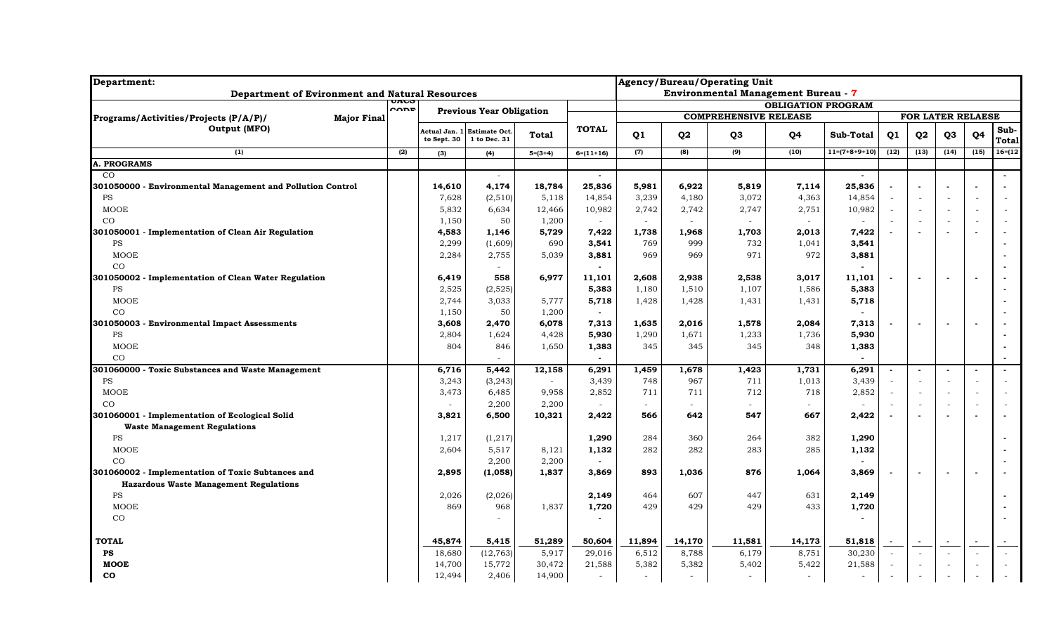| Department:                                                                        |                                            |                                 |                                      |              |                |                              |                | <b>Agency/Bureau/Operating Unit</b> |        |                 |                          |                          |                          |                          |                          |  |  |
|------------------------------------------------------------------------------------|--------------------------------------------|---------------------------------|--------------------------------------|--------------|----------------|------------------------------|----------------|-------------------------------------|--------|-----------------|--------------------------|--------------------------|--------------------------|--------------------------|--------------------------|--|--|
| <b>Department of Evironment and Natural Resources</b>                              | <b>Environmental Management Bureau - 7</b> |                                 |                                      |              |                |                              |                |                                     |        |                 |                          |                          |                          |                          |                          |  |  |
|                                                                                    | UACO<br>$\sim$                             |                                 |                                      |              |                | <b>OBLIGATION PROGRAM</b>    |                |                                     |        |                 |                          |                          |                          |                          |                          |  |  |
| Programs/Activities/Projects (P/A/P)/<br><b>Major Final</b><br><b>Output (MFO)</b> |                                            | <b>Previous Year Obligation</b> |                                      |              |                | <b>COMPREHENSIVE RELEASE</b> |                |                                     |        |                 |                          | <b>FOR LATER RELAESE</b> |                          |                          |                          |  |  |
|                                                                                    |                                            | Actual Jan. 1<br>to Sept. 30    | <b>Estimate Oct.</b><br>1 to Dec. 31 | <b>Total</b> | <b>TOTAL</b>   | Q1                           | Q <sub>2</sub> | Q <sub>3</sub>                      | Q4     | Sub-Total       | Q1                       | Q <sub>2</sub>           | Q <sub>3</sub>           | Q4                       | Sub-<br><b>Total</b>     |  |  |
| (1)                                                                                | (2)                                        | (3)                             | (4)                                  | $5=(3+4)$    | $6=(11+16)$    | (7)                          | (8)            | (9)                                 | (10)   | $11=(7+8+9+10)$ | (12)                     | (13)                     | (14)                     | (15)                     | $16 = (12)$              |  |  |
| <b>A. PROGRAMS</b>                                                                 |                                            |                                 |                                      |              |                |                              |                |                                     |        |                 |                          |                          |                          |                          |                          |  |  |
| $\rm CO$                                                                           |                                            |                                 | $\sim$                               |              | $\sim$         |                              |                |                                     |        | $\sim$          |                          |                          |                          |                          | $\sim$                   |  |  |
| 301050000 - Environmental Management and Pollution Control                         |                                            | 14,610                          | 4,174                                | 18,784       | 25,836         | 5,981                        | 6,922          | 5,819                               | 7,114  | 25,836          |                          |                          |                          | $\tilde{\phantom{a}}$    |                          |  |  |
| PS                                                                                 |                                            | 7,628                           | (2, 510)                             | 5,118        | 14,854         | 3,239                        | 4,180          | 3,072                               | 4,363  | 14,854          | $\overline{\phantom{a}}$ | $\sim$                   | $\overline{\phantom{a}}$ | $\sim$                   | $\sim$                   |  |  |
| <b>MOOE</b>                                                                        |                                            | 5,832                           | 6,634                                | 12,466       | 10,982         | 2,742                        | 2,742          | 2,747                               | 2,751  | 10,982          | $\sim$                   | $\sim$                   | $\sim$                   | $\sim$                   | $\sim$                   |  |  |
| CO                                                                                 |                                            | 1,150                           | 50                                   | 1,200        | $\sim$         |                              |                |                                     |        |                 |                          |                          | $\overline{\phantom{a}}$ | $\sim$                   |                          |  |  |
| 301050001 - Implementation of Clean Air Regulation                                 |                                            | 4,583                           | 1,146                                | 5,729        | 7,422          | 1,738                        | 1,968          | 1,703                               | 2,013  | 7,422           | $\sim$                   | $\sim$                   | $\sim$                   | $\sim$                   | $\sim$                   |  |  |
| PS                                                                                 |                                            | 2,299                           | (1,609)                              | 690          | 3,541          | 769                          | 999            | 732                                 | 1,041  | 3,541           |                          |                          |                          |                          |                          |  |  |
| <b>MOOE</b>                                                                        |                                            | 2,284                           | 2,755                                | 5,039        | 3,881          | 969                          | 969            | 971                                 | 972    | 3,881           |                          |                          |                          |                          |                          |  |  |
| CO                                                                                 |                                            |                                 | $\sim$                               |              | $\blacksquare$ |                              |                |                                     |        |                 |                          |                          |                          |                          |                          |  |  |
| 301050002 - Implementation of Clean Water Regulation                               |                                            | 6,419                           | 558                                  | 6,977        | 11,101         | 2,608                        | 2,938          | 2,538                               | 3,017  | 11,101          |                          |                          |                          | $\sim$                   |                          |  |  |
| PS                                                                                 |                                            | 2,525                           | (2, 525)                             |              | 5,383          | 1,180                        | 1,510          | 1,107                               | 1,586  | 5,383           |                          |                          |                          |                          |                          |  |  |
| <b>MOOE</b>                                                                        |                                            | 2,744                           | 3,033                                | 5,777        | 5,718          | 1,428                        | 1,428          | 1,431                               | 1,431  | 5,718           |                          |                          |                          |                          |                          |  |  |
| CO                                                                                 |                                            | 1,150                           | 50                                   | 1,200        |                |                              |                |                                     |        |                 |                          |                          |                          |                          |                          |  |  |
| 301050003 - Environmental Impact Assessments                                       |                                            | 3,608                           | 2,470                                | 6,078        | 7,313          | 1,635                        | 2,016          | 1,578                               | 2,084  | 7,313           |                          |                          |                          | $\sim$                   |                          |  |  |
| PS                                                                                 |                                            | 2,804                           | 1,624                                | 4,428        | 5,930          | 1,290                        | 1,671          | 1,233                               | 1,736  | 5,930           |                          |                          |                          |                          |                          |  |  |
| <b>MOOE</b>                                                                        |                                            | 804                             | 846                                  | 1,650        | 1,383          | 345                          | 345            | 345                                 | 348    | 1,383           |                          |                          |                          |                          | $\blacksquare$           |  |  |
| CO                                                                                 |                                            |                                 |                                      |              |                |                              |                |                                     |        |                 |                          |                          |                          |                          |                          |  |  |
| 301060000 - Toxic Substances and Waste Management                                  |                                            | 6,716                           | 5,442                                | 12,158       | 6,291          | 1,459                        | 1,678          | 1,423                               | 1,731  | 6,291           | $\sim$                   |                          |                          | $\sim$                   | $\overline{\phantom{a}}$ |  |  |
| <b>PS</b>                                                                          |                                            | 3,243                           | (3, 243)                             | $\sim$       | 3,439          | 748                          | 967            | 711                                 | 1,013  | 3,439           | $\overline{\phantom{a}}$ | $\overline{\phantom{a}}$ | $\overline{\phantom{a}}$ | $\overline{\phantom{a}}$ | $\overline{\phantom{a}}$ |  |  |
| <b>MOOE</b>                                                                        |                                            | 3,473                           | 6,485                                | 9,958        | 2,852          | 711                          | 711            | 712                                 | 718    | 2,852           | $\sim$                   | $\overline{\phantom{a}}$ |                          | ÷,                       |                          |  |  |
| CO                                                                                 |                                            |                                 | 2,200                                | 2,200        | $\sim$         | $\sim$                       | $\sim$         |                                     |        |                 |                          | $\sim$                   | $\sim$                   | $\sim$                   |                          |  |  |
| 301060001 - Implementation of Ecological Solid                                     |                                            | 3,821                           | 6,500                                | 10,321       | 2,422          | 566                          | 642            | 547                                 | 667    | 2,422           |                          |                          |                          | $\blacksquare$           | $\blacksquare$           |  |  |
| <b>Waste Management Regulations</b>                                                |                                            |                                 |                                      |              |                |                              |                |                                     |        |                 |                          |                          |                          |                          |                          |  |  |
| PS                                                                                 |                                            | 1,217                           | (1, 217)                             |              | 1,290          | 284                          | 360            | 264                                 | 382    | 1,290           |                          |                          |                          |                          |                          |  |  |
| <b>MOOE</b>                                                                        |                                            | 2,604                           | 5,517                                | 8,121        | 1,132          | 282                          | 282            | 283                                 | 285    | 1,132           |                          |                          |                          |                          |                          |  |  |
| CO                                                                                 |                                            |                                 | 2,200                                | 2,200        |                |                              |                |                                     |        |                 |                          |                          |                          |                          |                          |  |  |
| 301060002 - Implementation of Toxic Subtances and                                  |                                            | 2,895                           | (1,058)                              | 1,837        | 3,869          | 893                          | 1,036          | 876                                 | 1,064  | 3,869           | $\sim$                   | $\overline{\phantom{a}}$ | $\overline{\phantom{a}}$ | $\overline{\phantom{a}}$ | $\overline{\phantom{a}}$ |  |  |
| <b>Hazardous Waste Management Regulations</b>                                      |                                            |                                 |                                      |              |                |                              |                |                                     |        |                 |                          |                          |                          |                          |                          |  |  |
| PS                                                                                 |                                            | 2,026                           | (2,026)                              |              | 2,149          | 464                          | 607            | 447                                 | 631    | 2,149           |                          |                          |                          |                          |                          |  |  |
| <b>MOOE</b>                                                                        |                                            | 869                             | 968                                  | 1,837        | 1,720          | 429                          | 429            | 429                                 | 433    | 1,720           |                          |                          |                          |                          |                          |  |  |
| CO                                                                                 |                                            |                                 |                                      |              |                |                              |                |                                     |        |                 |                          |                          |                          |                          |                          |  |  |
|                                                                                    |                                            |                                 |                                      |              |                |                              |                |                                     |        |                 |                          |                          |                          |                          |                          |  |  |
| <b>TOTAL</b>                                                                       |                                            | 45,874                          | 5,415                                | 51,289       | 50,604         | 11,894                       | 14,170         | 11,581                              | 14,173 | 51,818          | $\sim$                   |                          | $\sim$                   | $\sim$                   |                          |  |  |
| PS                                                                                 |                                            | 18,680                          | (12, 763)                            | 5,917        | 29,016         | 6,512                        | 8,788          | 6,179                               | 8,751  | 30,230          | $\sim$                   | $\sim$                   | $\sim$                   | $\sim$                   | $\sim$                   |  |  |
| <b>MOOE</b>                                                                        |                                            | 14,700                          | 15,772                               | 30,472       | 21,588         | 5,382                        | 5,382          | 5,402                               | 5,422  | 21,588          | $\overline{\phantom{a}}$ | $\sim$                   | $\overline{\phantom{a}}$ | $\sim$                   | $\sim$                   |  |  |
| $\mathbf{co}$                                                                      |                                            | 12,494                          | 2,406                                | 14,900       |                | $\overline{\phantom{a}}$     | $\sim$         | $\sim$                              | $\sim$ | $\sim$          |                          | $\overline{\phantom{a}}$ | $\overline{\phantom{a}}$ | ÷,                       |                          |  |  |